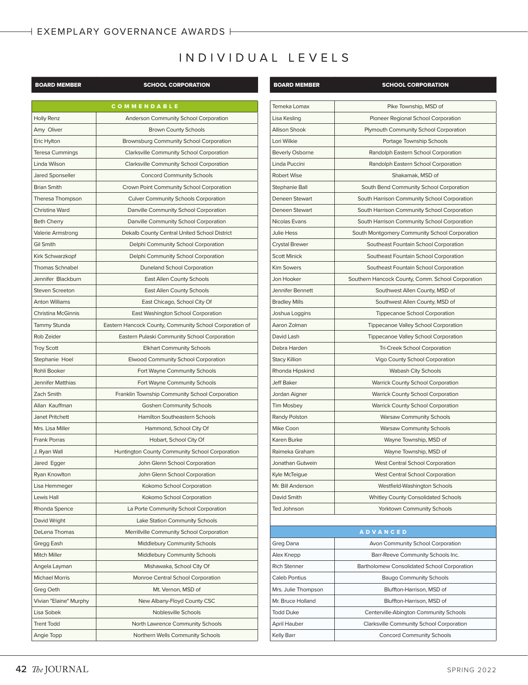## INDIVIDUAL LEVELS

| <b>BOARD MEMBER</b>    | <b>SCHOOL CORPORATION</b>                               | <b>BOARD MEMBER</b>    | <b>SCHOOL CORPORATION</b>                |  |
|------------------------|---------------------------------------------------------|------------------------|------------------------------------------|--|
|                        | COMMENDABLE                                             | Temeka Lomax           | Pike Township, MSD of                    |  |
| Holly Renz             | Anderson Community School Corporation                   | Lisa Kesling           | Pioneer Regional School Corpor           |  |
| Amy Oliver             | <b>Brown County Schools</b>                             | <b>Allison Shook</b>   | Plymouth Community School Corp           |  |
| Eric Hylton            | Brownsburg Community School Corporation                 | Lori Wilkie            | Portage Township Schools                 |  |
| Teresa Cummings        | Clarksville Community School Corporation                | <b>Beverly Osborne</b> | Randolph Eastern School Corpor           |  |
| Linda Wilson           | Clarksville Community School Corporation                | Linda Puccini          | Randolph Eastern School Corpor           |  |
| Jared Sponseller       | <b>Concord Community Schools</b>                        | <b>Robert Wise</b>     | Shakamak, MSD of                         |  |
| <b>Brian Smith</b>     | Crown Point Community School Corporation                | Stephanie Ball         | South Bend Community School Cor          |  |
| Theresa Thompson       | <b>Culver Community Schools Corporation</b>             | Deneen Stewart         | South Harrison Community School Co       |  |
| Christina Ward         | Danville Community School Corporation                   | Deneen Stewart         | South Harrison Community School Co       |  |
| <b>Beth Cherry</b>     | Danville Community School Corporation                   | Nicolas Evans          | South Harrison Community School Co       |  |
| Valerie Armstrong      | Dekalb County Central United School District            | <b>Julie Hess</b>      | South Montgomery Community School        |  |
| Gil Smith              | Delphi Community School Corporation                     | <b>Crystal Brewer</b>  | Southeast Fountain School Corpo          |  |
| Kirk Schwarzkopf       | Delphi Community School Corporation                     | <b>Scott Minick</b>    | Southeast Fountain School Corpo          |  |
| <b>Thomas Schnabel</b> | <b>Duneland School Corporation</b>                      | <b>Kim Sowers</b>      | Southeast Fountain School Corpo          |  |
| Jennifer Blackburn     | East Allen County Schools                               | Jon Hooker             | Southern Hancock County, Comm. Schoo     |  |
| <b>Steven Screeton</b> | East Allen County Schools                               | Jennifer Bennett       | Southwest Allen County, MSD              |  |
| <b>Anton Williams</b>  | East Chicago, School City Of                            | <b>Bradley Mills</b>   | Southwest Allen County, MSD              |  |
| Christina McGinnis     | East Washington School Corporation                      | Joshua Loggins         | Tippecanoe School Corporati              |  |
| <b>Tammy Stunda</b>    | Eastern Hancock County, Community School Corporation of | Aaron Zolman           | Tippecanoe Valley School Corpo           |  |
| Rob Zeider             | Eastern Pulaski Community School Corporation            | David Lash             | <b>Tippecanoe Valley School Corpo</b>    |  |
| <b>Troy Scott</b>      | <b>Elkhart Community Schools</b>                        | Debra Harden           | Tri-Creek School Corporatio              |  |
| Stephanie Hoel         | Elwood Community School Corporation                     | <b>Stacy Killion</b>   | Vigo County School Corporati             |  |
| Rohli Booker           | Fort Wayne Community Schools                            | Rhonda Hipskind        | <b>Wabash City Schools</b>               |  |
| Jennifer Matthias      | Fort Wayne Community Schools                            | Jeff Baker             | <b>Warrick County School Corpora</b>     |  |
| Zach Smith             | Franklin Township Community School Corporation          | Jordan Aigner          | <b>Warrick County School Corpora</b>     |  |
| Allan Kauffman         | <b>Goshen Community Schools</b>                         | <b>Tim Mosbey</b>      | <b>Warrick County School Corpora</b>     |  |
| Janet Pritchett        | Hamilton Southeastern Schools                           | Randy Polston          | <b>Warsaw Community School:</b>          |  |
| Mrs. Lisa Miller       | Hammond, School City Of                                 | Mike Coon              | <b>Warsaw Community School:</b>          |  |
| <b>Frank Porras</b>    | Hobart, School City Of                                  | Karen Burke            | Wayne Township, MSD of                   |  |
| J. Ryan Wall           | Huntington County Community School Corporation          | Raimeka Graham         | Wayne Township, MSD of                   |  |
| Jared Egger            | John Glenn School Corporation                           | Jonathan Gutwein       | <b>West Central School Corporat</b>      |  |
| Ryan Knowlton          | John Glenn School Corporation                           | Kyle McTeigue          | West Central School Corporat             |  |
| Lisa Hemmeger          | Kokomo School Corporation                               | Mr. Bill Anderson      | Westfield-Washington Schoo               |  |
| Lewis Hall             | Kokomo School Corporation                               | David Smith            | <b>Whitley County Consolidated Sc</b>    |  |
| Rhonda Spence          | La Porte Community School Corporation                   | Ted Johnson            | Yorktown Community Schoo                 |  |
| David Wright           | Lake Station Community Schools                          |                        |                                          |  |
| DeLena Thomas          | Merrillville Community School Corporation               |                        | <b>ADVANCED</b>                          |  |
| Gregg Eash             | Middlebury Community Schools                            | Greg Dana              | Avon Community School Corpor             |  |
| Mitch Miller           | <b>Middlebury Community Schools</b>                     | Alex Knepp             | <b>Barr-Reeve Community Schools</b>      |  |
| Angela Layman          | Mishawaka, School City Of                               | <b>Rich Stenner</b>    | Bartholomew Consolidated School C        |  |
| <b>Michael Morris</b>  | Monroe Central School Corporation                       | Caleb Pontius          | <b>Baugo Community Schools</b>           |  |
| Greg Oeth              | Mt. Vernon, MSD of                                      | Mrs. Julie Thompson    | Bluffton-Harrison, MSD of                |  |
| Vivian "Elaine" Murphy | New Albany-Floyd County CSC                             | Mr. Bruce Holland      | Bluffton-Harrison, MSD of                |  |
| Lisa Sobek             | Noblesville Schools                                     | <b>Todd Duke</b>       | Centerville-Abington Community S         |  |
| <b>Trent Todd</b>      | North Lawrence Community Schools                        | April Hauber           | <b>Clarksville Community School Corp</b> |  |
| Angie Topp             | Northern Wells Community Schools                        | Kelly Barr             | <b>Concord Community School</b>          |  |

| <b>BOARD MEMBER</b>    | <b>SCHOOL CORPORATION</b>                          |  |  |
|------------------------|----------------------------------------------------|--|--|
|                        |                                                    |  |  |
| Temeka Lomax           | Pike Township, MSD of                              |  |  |
| Lisa Kesling           | Pioneer Regional School Corporation                |  |  |
| <b>Allison Shook</b>   | Plymouth Community School Corporation              |  |  |
| Lori Wilkie            | Portage Township Schools                           |  |  |
| <b>Beverly Osborne</b> | Randolph Eastern School Corporation                |  |  |
| Linda Puccini          | Randolph Eastern School Corporation                |  |  |
| <b>Robert Wise</b>     | Shakamak, MSD of                                   |  |  |
| Stephanie Ball         | South Bend Community School Corporation            |  |  |
| Deneen Stewart         | South Harrison Community School Corporation        |  |  |
| <b>Deneen Stewart</b>  | South Harrison Community School Corporation        |  |  |
| Nicolas Evans          | South Harrison Community School Corporation        |  |  |
| <b>Julie Hess</b>      | South Montgomery Community School Corporation      |  |  |
| <b>Crystal Brewer</b>  | Southeast Fountain School Corporation              |  |  |
| <b>Scott Minick</b>    | Southeast Fountain School Corporation              |  |  |
| <b>Kim Sowers</b>      | Southeast Fountain School Corporation              |  |  |
| Jon Hooker             | Southern Hancock County, Comm. School Corporation  |  |  |
| Jennifer Bennett       | Southwest Allen County, MSD of                     |  |  |
| <b>Bradley Mills</b>   | Southwest Allen County, MSD of                     |  |  |
| Joshua Loggins         | <b>Tippecanoe School Corporation</b>               |  |  |
| Aaron Zolman           | Tippecanoe Valley School Corporation               |  |  |
| David Lash             | Tippecanoe Valley School Corporation               |  |  |
| Debra Harden           | <b>Tri-Creek School Corporation</b>                |  |  |
| <b>Stacy Killion</b>   | Vigo County School Corporation                     |  |  |
| Rhonda Hipskind        | <b>Wabash City Schools</b>                         |  |  |
| <b>Jeff Baker</b>      | <b>Warrick County School Corporation</b>           |  |  |
| Jordan Aigner          | <b>Warrick County School Corporation</b>           |  |  |
| <b>Tim Mosbey</b>      | <b>Warrick County School Corporation</b>           |  |  |
| Randy Polston          | <b>Warsaw Community Schools</b>                    |  |  |
| Mike Coon              | <b>Warsaw Community Schools</b>                    |  |  |
| Karen Burke            | Wayne Township, MSD of                             |  |  |
| Raimeka Graham         | Wayne Township, MSD of                             |  |  |
| Jonathan Gutwein       | <b>West Central School Corporation</b>             |  |  |
| Kyle McTeigue          | West Central School Corporation                    |  |  |
| Mr. Bill Anderson      | Westfield-Washington Schools                       |  |  |
| David Smith            | <b>Whitley County Consolidated Schools</b>         |  |  |
| Ted Johnson            | Yorktown Community Schools                         |  |  |
|                        |                                                    |  |  |
| <b>ADVANCED</b>        |                                                    |  |  |
| Greg Dana              | Avon Community School Corporation                  |  |  |
| Alex Knepp             | Barr-Reeve Community Schools Inc.                  |  |  |
| <b>Rich Stenner</b>    | <b>Bartholomew Consolidated School Corporation</b> |  |  |
| Caleb Pontius          | <b>Baugo Community Schools</b>                     |  |  |
| Mrs. Julie Thompson    | Bluffton-Harrison, MSD of                          |  |  |
| Mr. Bruce Holland      | Bluffton-Harrison, MSD of                          |  |  |
| <b>Todd Duke</b>       | Centerville-Abington Community Schools             |  |  |
| April Hauber           | Clarksville Community School Corporation           |  |  |
| Kelly Barr             | <b>Concord Community Schools</b>                   |  |  |